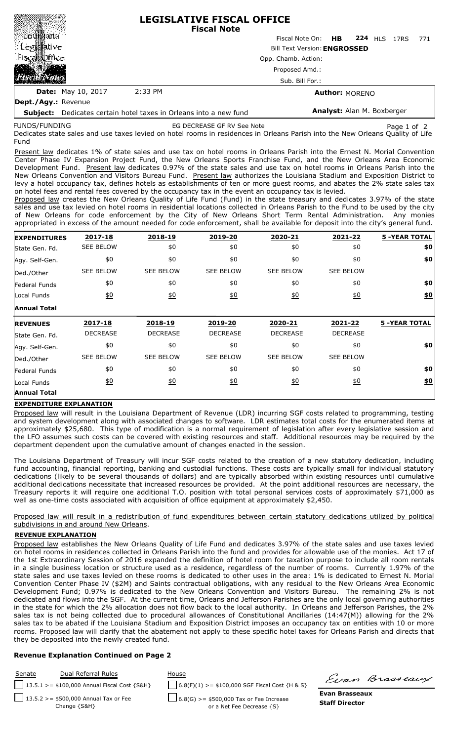|                                            |                                     | <b>LEGISLATIVE FISCAL OFFICE</b><br><b>Fiscal Note</b> |     |  |  |  |  |  |  |
|--------------------------------------------|-------------------------------------|--------------------------------------------------------|-----|--|--|--|--|--|--|
|                                            |                                     | Fiscal Note On: HB 224 HLS 17RS                        | 771 |  |  |  |  |  |  |
| : Le                                       | <b>Bill Text Version: ENGROSSED</b> |                                                        |     |  |  |  |  |  |  |
| Fiscal Chica                               |                                     | Opp. Chamb. Action:                                    |     |  |  |  |  |  |  |
|                                            |                                     | Proposed Amd.:                                         |     |  |  |  |  |  |  |
|                                            |                                     | Sub. Bill For.:                                        |     |  |  |  |  |  |  |
| <b>Date:</b> May 10, 2017                  | 2:33 PM                             | <b>Author: MORENO</b>                                  |     |  |  |  |  |  |  |
| $\mathbf{r}$ . $\mathbf{r}$ . $\mathbf{r}$ |                                     |                                                        |     |  |  |  |  |  |  |

**Dept./Agy.:** Revenue **Subject:** Dedicates certain hotel taxes in Orleans into a new fund

FUNDS/FUNDING

**Analyst:** Alan M. Boxberger

Dedicates state sales and use taxes levied on hotel rooms in residences in Orleans Parish into the New Orleans Quality of Life Fund EG DECREASE GF RV See Note **Page 1 of 2** Page 1 of 2

Present law dedicates 1% of state sales and use tax on hotel rooms in Orleans Parish into the Ernest N. Morial Convention Center Phase IV Expansion Project Fund, the New Orleans Sports Franchise Fund, and the New Orleans Area Economic Development Fund. Present law dedicates 0.97% of the state sales and use tax on hotel rooms in Orleans Parish into the New Orleans Convention and Visitors Bureau Fund. Present law authorizes the Louisiana Stadium and Exposition District to levy a hotel occupancy tax, defines hotels as establishments of ten or more guest rooms, and abates the 2% state sales tax on hotel fees and rental fees covered by the occupancy tax in the event an occupancy tax is levied.

Proposed law creates the New Orleans Quality of Life Fund (Fund) in the state treasury and dedicates 3.97% of the state sales and use tax levied on hotel rooms in residential locations collected in Orleans Parish to the Fund to be used by the city of New Orleans for code enforcement by the City of New Orleans Short Term Rental Administration. Any monies appropriated in excess of the amount needed for code enforcement, shall be available for deposit into the city's general fund.

| <b>EXPENDITURES</b>                                                                               | 2017-18          | 2018-19          | 2019-20          | 2020-21           | 2021-22           | <b>5 -YEAR TOTAL</b> |
|---------------------------------------------------------------------------------------------------|------------------|------------------|------------------|-------------------|-------------------|----------------------|
| State Gen. Fd.                                                                                    | <b>SEE BELOW</b> | \$0              | \$0              | \$0               | \$0               | \$0                  |
| Agy. Self-Gen.                                                                                    | \$0              | \$0              | \$0              | \$0               | \$0               | \$0                  |
| Ded./Other                                                                                        | <b>SEE BELOW</b> | <b>SEE BELOW</b> | <b>SEE BELOW</b> | <b>SEE BELOW</b>  | <b>SEE BELOW</b>  |                      |
| Federal Funds                                                                                     | \$0              | \$0              | \$0              | \$0               | \$0               | \$0                  |
| Local Funds                                                                                       | $\underline{50}$ | 60               | 60               | $\underline{\$0}$ | $\underline{\$0}$ | $\underline{\$0}$    |
| <b>Annual Total</b>                                                                               |                  |                  |                  |                   |                   |                      |
|                                                                                                   |                  |                  |                  |                   |                   |                      |
|                                                                                                   | 2017-18          | 2018-19          | 2019-20          | 2020-21           | 2021-22           | <b>5 -YEAR TOTAL</b> |
|                                                                                                   | <b>DECREASE</b>  | <b>DECREASE</b>  | <b>DECREASE</b>  | <b>DECREASE</b>   | <b>DECREASE</b>   |                      |
|                                                                                                   | \$0              | \$0              | \$0              | \$0               | \$0               | \$0                  |
|                                                                                                   | <b>SEE BELOW</b> | <b>SEE BELOW</b> | <b>SEE BELOW</b> | <b>SEE BELOW</b>  | <b>SEE BELOW</b>  |                      |
|                                                                                                   | \$0              | \$0              | \$0              | \$0               | \$0               | \$0                  |
| <b>REVENUES</b><br>State Gen. Fd.<br>Agy. Self-Gen.<br>Ded./Other<br>Federal Funds<br>Local Funds | $\underline{50}$ | 60               | $\underline{50}$ | $\underline{40}$  | $\underline{50}$  | \$0                  |

## **EXPENDITURE EXPLANATION**

Proposed law will result in the Louisiana Department of Revenue (LDR) incurring SGF costs related to programming, testing and system development along with associated changes to software. LDR estimates total costs for the enumerated items at approximately \$25,680. This type of modification is a normal requirement of legislation after every legislative session and the LFO assumes such costs can be covered with existing resources and staff. Additional resources may be required by the department dependent upon the cumulative amount of changes enacted in the session.

The Louisiana Department of Treasury will incur SGF costs related to the creation of a new statutory dedication, including fund accounting, financial reporting, banking and custodial functions. These costs are typically small for individual statutory dedications (likely to be several thousands of dollars) and are typically absorbed within existing resources until cumulative additional dedications necessitate that increased resources be provided. At the point additional resources are necessary, the Treasury reports it will require one additional T.O. position with total personal services costs of approximately \$71,000 as well as one-time costs associated with acquisition of office equipment at approximately \$2,450.

Proposed law will result in a redistribution of fund expenditures between certain statutory dedications utilized by political subdivisions in and around New Orleans.

## **REVENUE EXPLANATION**

Proposed law establishes the New Orleans Quality of Life Fund and dedicates 3.97% of the state sales and use taxes levied on hotel rooms in residences collected in Orleans Parish into the fund and provides for allowable use of the monies. Act 17 of the 1st Extraordinary Session of 2016 expanded the definition of hotel room for taxation purpose to include all room rentals in a single business location or structure used as a residence, regardless of the number of rooms. Currently 1.97% of the state sales and use taxes levied on these rooms is dedicated to other uses in the area: 1% is dedicated to Ernest N. Morial Convention Center Phase IV (\$2M) and Saints contractual obligations, with any residual to the New Orleans Area Economic Development Fund; 0.97% is dedicated to the New Orleans Convention and Visitors Bureau. The remaining 2% is not dedicated and flows into the SGF. At the current time, Orleans and Jefferson Parishes are the only local governing authorities in the state for which the 2% allocation does not flow back to the local authority. In Orleans and Jefferson Parishes, the 2% sales tax is not being collected due to procedural allowances of Constitutional Ancillaries (14:47(M)) allowing for the 2% sales tax to be abated if the Louisiana Stadium and Exposition District imposes an occupancy tax on entities with 10 or more rooms. Proposed law will clarify that the abatement not apply to these specific hotel taxes for Orleans Parish and directs that they be deposited into the newly created fund.

## **Revenue Explanation Continued on Page 2**

**Staff Director** Senate Dual Referral Rules House 13.5.1 >= \$100,000 Annual Fiscal Cost {S&H} 6.8(F)(1) >= \$100,000 SGF Fiscal Cost {H & S} 13.5.2 >= \$500,000 Annual Tax or Fee Change {S&H} 6.8(G) >= \$500,000 Tax or Fee Increase or a Net Fee Decrease {S}

Einn Brasseaux

**Evan Brasseaux**